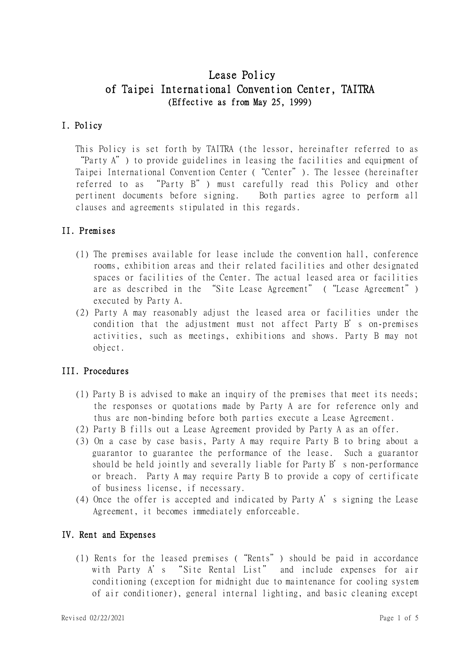# Lease Policy of Taipei International Convention Center, TAITRA (Effective as from May 25, 1999)

# I. Policy

This Policy is set forth by TAITRA (the lessor, hereinafter referred to as "Party A") to provide guidelines in leasing the facilities and equipment of Taipei International Convention Center ("Center"). The lessee (hereinafter referred to as "Party B") must carefully read this Policy and other pertinent documents before signing. Both parties agree to perform all clauses and agreements stipulated in this regards.

# II. Premises

- (1) The premises available for lease include the convention hall, conference rooms, exhibition areas and their related facilities and other designated spaces or facilities of the Center. The actual leased area or facilities are as described in the "Site Lease Agreement" ("Lease Agreement") executed by Party A.
- (2) Party A may reasonably adjust the leased area or facilities under the condition that the adjustment must not affect Party B's on-premises activities, such as meetings, exhibitions and shows. Party B may not object.

# III. Procedures

- (1) Party B is advised to make an inquiry of the premises that meet its needs; the responses or quotations made by Party A are for reference only and thus are non-binding before both parties execute a Lease Agreement.
- (2) Party B fills out a Lease Agreement provided by Party A as an offer.
- (3) On a case by case basis, Party A may require Party B to bring about a guarantor to guarantee the performance of the lease. Such a guarantor should be held jointly and severally liable for Party B's non-performance or breach. Party A may require Party B to provide a copy of certificate of business license, if necessary.
- (4) Once the offer is accepted and indicated by Party A's signing the Lease Agreement, it becomes immediately enforceable.

### IV. Rent and Expenses

(1) Rents for the leased premises ("Rents") should be paid in accordance with Party A's "Site Rental List" and include expenses for air conditioning (exception for midnight due to maintenance for cooling system of air conditioner), general internal lighting, and basic cleaning except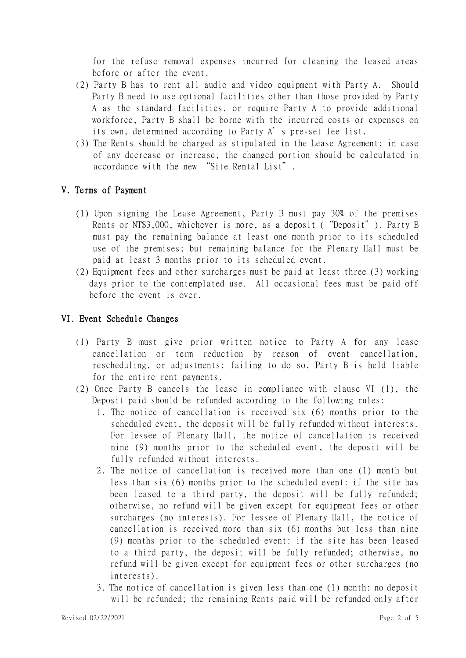for the refuse removal expenses incurred for cleaning the leased areas before or after the event.

- (2) Party B has to rent all audio and video equipment with Party A. Should Party B need to use optional facilities other than those provided by Party A as the standard facilities, or require Party A to provide additional workforce, Party B shall be borne with the incurred costs or expenses on its own, determined according to Party A's pre-set fee list.
- (3) The Rents should be charged as stipulated in the Lease Agreement; in case of any decrease or increase, the changed portion should be calculated in accordance with the new "Site Rental List".

# V. Terms of Payment

- (1) Upon signing the Lease Agreement, Party B must pay 30% of the premises Rents or NT\$3,000, whichever is more, as a deposit ("Deposit"). Party B must pay the remaining balance at least one month prior to its scheduled use of the premises; but remaining balance for the Plenary Hall must be paid at least 3 months prior to its scheduled event.
- (2) Equipment fees and other surcharges must be paid at least three (3) working days prior to the contemplated use. All occasional fees must be paid off before the event is over.

### VI. Event Schedule Changes

- (1) Party B must give prior written notice to Party A for any lease cancellation or term reduction by reason of event cancellation, rescheduling, or adjustments; failing to do so, Party B is held liable for the entire rent payments.
- (2) Once Party B cancels the lease in compliance with clause VI (1), the Deposit paid should be refunded according to the following rules:
	- 1. The notice of cancellation is received six (6) months prior to the scheduled event, the deposit will be fully refunded without interests. For lessee of Plenary Hall, the notice of cancellation is received nine (9) months prior to the scheduled event, the deposit will be fully refunded without interests.
	- 2. The notice of cancellation is received more than one (1) month but less than six (6) months prior to the scheduled event: if the site has been leased to a third party, the deposit will be fully refunded; otherwise, no refund will be given except for equipment fees or other surcharges (no interests). For lessee of Plenary Hall, the notice of cancellation is received more than six (6) months but less than nine (9) months prior to the scheduled event: if the site has been leased to a third party, the deposit will be fully refunded; otherwise, no refund will be given except for equipment fees or other surcharges (no interests).
	- 3. The notice of cancellation is given less than one (1) month: no deposit will be refunded; the remaining Rents paid will be refunded only after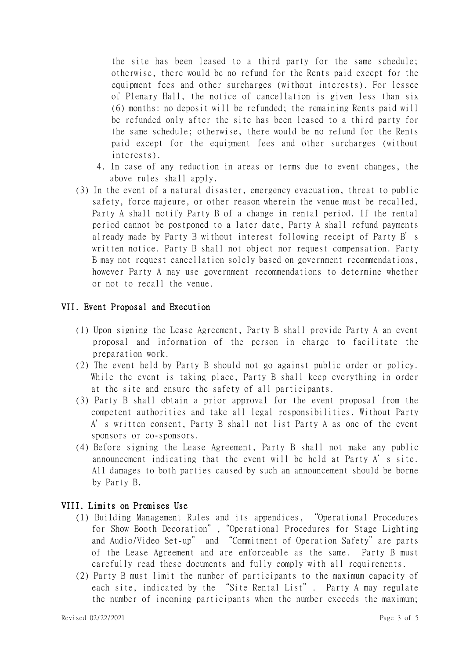the site has been leased to a third party for the same schedule; otherwise, there would be no refund for the Rents paid except for the equipment fees and other surcharges (without interests). For lessee of Plenary Hall, the notice of cancellation is given less than six (6) months: no deposit will be refunded; the remaining Rents paid will be refunded only after the site has been leased to a third party for the same schedule; otherwise, there would be no refund for the Rents paid except for the equipment fees and other surcharges (without interests).

- 4. In case of any reduction in areas or terms due to event changes, the above rules shall apply.
- (3) In the event of a natural disaster, emergency evacuation, threat to public safety, force majeure, or other reason wherein the venue must be recalled, Party A shall notify Party B of a change in rental period. If the rental period cannot be postponed to a later date, Party A shall refund payments already made by Party B without interest following receipt of Party B's written notice. Party B shall not object nor request compensation. Party B may not request cancellation solely based on government recommendations, however Party A may use government recommendations to determine whether or not to recall the venue.

#### VII. Event Proposal and Execution

- (1) Upon signing the Lease Agreement, Party B shall provide Party A an event proposal and information of the person in charge to facilitate the preparation work.
- (2) The event held by Party B should not go against public order or policy. While the event is taking place, Party B shall keep everything in order at the site and ensure the safety of all participants.
- (3) Party B shall obtain a prior approval for the event proposal from the competent authorities and take all legal responsibilities. Without Party A's written consent, Party B shall not list Party A as one of the event sponsors or co-sponsors.
- (4) Before signing the Lease Agreement, Party B shall not make any public announcement indicating that the event will be held at Party A's site. All damages to both parties caused by such an announcement should be borne by Party B.

#### VIII. Limits on Premises Use

- (1) Building Management Rules and its appendices, "Operational Procedures for Show Booth Decoration","Operational Procedures for Stage Lighting and Audio/Video Set-up" and "Commitment of Operation Safety"are parts of the Lease Agreement and are enforceable as the same. Party B must carefully read these documents and fully comply with all requirements.
- (2) Party B must limit the number of participants to the maximum capacity of each site, indicated by the "Site Rental List". Party A may regulate the number of incoming participants when the number exceeds the maximum;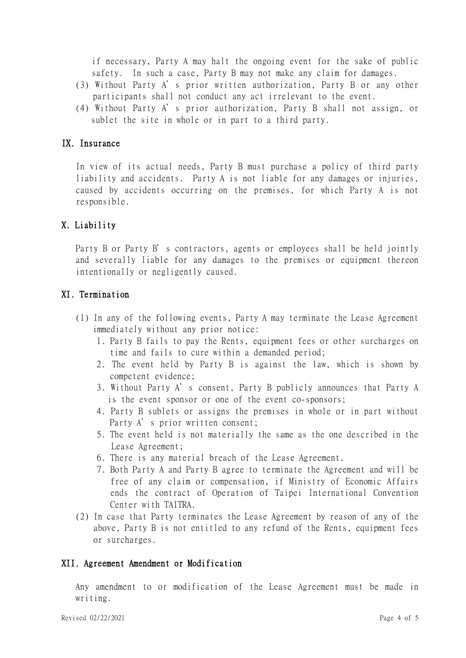if necessary, Party A may halt the ongoing event for the sake of public safety. In such a case, Party B may not make any claim for damages.

- (3) Without Party A's prior written authorization, Party B or any other participants shall not conduct any act irrelevant to the event.
- (4) Without Party A's prior authorization, Party B shall not assign, or sublet the site in whole or in part to a third party.

#### IX. Insurance

In view of its actual needs, Party B must purchase a policy of third party liability and accidents. Party A is not liable for any damages or injuries, caused by accidents occurring on the premises, for which Party A is not responsible.

# X. Liability

Party B or Party B's contractors, agents or employees shall be held jointly and severally liable for any damages to the premises or equipment thereon intentionally or negligently caused.

#### XI. Termination

- (1) In any of the following events, Party A may terminate the Lease Agreement immediately without any prior notice:
	- 1. Party B fails to pay the Rents, equipment fees or other surcharges on time and fails to cure within a demanded period;
	- 2. The event held by Party B is against the law, which is shown by competent evidence;
	- 3. Without Party A's consent, Party B publicly announces that Party A is the event sponsor or one of the event co-sponsors;
	- 4. Party B sublets or assigns the premises in whole or in part without Party A's prior written consent;
	- 5. The event held is not materially the same as the one described in the Lease Agreement;
	- 6. There is any material breach of the Lease Agreement.
	- 7. Both Party A and Party B agree to terminate the Agreement and will be free of any claim or compensation, if Ministry of Economic Affairs ends the contract of Operation of Taipei International Convention Center with TAITRA.
- (2) In case that Party terminates the Lease Agreement by reason of any of the above, Party B is not entitled to any refund of the Rents, equipment fees or surcharges.

#### XII. Agreement Amendment or Modification

Any amendment to or modification of the Lease Agreement must be made in writing.